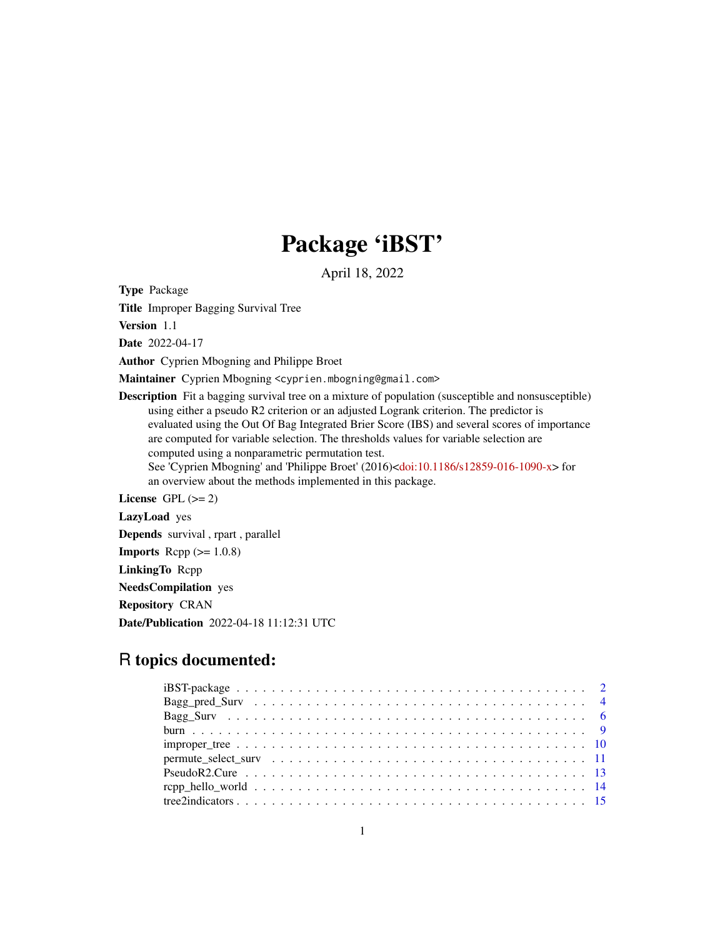# Package 'iBST'

April 18, 2022

<span id="page-0-0"></span>Type Package

Title Improper Bagging Survival Tree

Version 1.1

Date 2022-04-17

Author Cyprien Mbogning and Philippe Broet

Maintainer Cyprien Mbogning <cyprien.mbogning@gmail.com>

Description Fit a bagging survival tree on a mixture of population (susceptible and nonsusceptible) using either a pseudo R2 criterion or an adjusted Logrank criterion. The predictor is evaluated using the Out Of Bag Integrated Brier Score (IBS) and several scores of importance are computed for variable selection. The thresholds values for variable selection are computed using a nonparametric permutation test. See 'Cyprien Mbogning' and 'Philippe Broet' (2016)[<doi:10.1186/s12859-016-1090-x>](https://doi.org/10.1186/s12859-016-1090-x) for an overview about the methods implemented in this package.

License GPL  $(>= 2)$ 

LazyLoad yes Depends survival , rpart , parallel **Imports** Rcpp  $(>= 1.0.8)$ LinkingTo Rcpp NeedsCompilation yes Repository CRAN Date/Publication 2022-04-18 11:12:31 UTC

## R topics documented: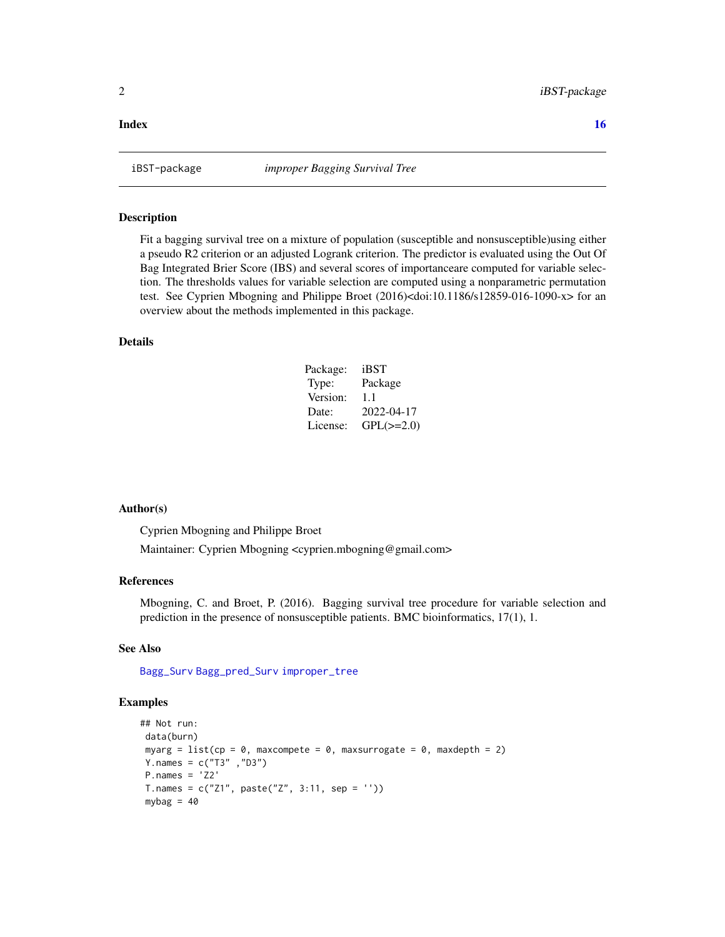#### <span id="page-1-0"></span>**Index** and the contract of the contract of the contract of the contract of the contract of the contract of the contract of the contract of the contract of the contract of the contract of the contract of the contract of th

#### Description

Fit a bagging survival tree on a mixture of population (susceptible and nonsusceptible)using either a pseudo R2 criterion or an adjusted Logrank criterion. The predictor is evaluated using the Out Of Bag Integrated Brier Score (IBS) and several scores of importanceare computed for variable selection. The thresholds values for variable selection are computed using a nonparametric permutation test. See Cyprien Mbogning and Philippe Broet (2016)<doi:10.1186/s12859-016-1090-x> for an overview about the methods implemented in this package.

#### Details

| Package: | iBST           |
|----------|----------------|
| Type:    | Package        |
| Version: | 11             |
| Date:    | 2022-04-17     |
| License: | $GPL(\ge=2.0)$ |

#### Author(s)

Cyprien Mbogning and Philippe Broet

Maintainer: Cyprien Mbogning <cyprien.mbogning@gmail.com>

#### References

Mbogning, C. and Broet, P. (2016). Bagging survival tree procedure for variable selection and prediction in the presence of nonsusceptible patients. BMC bioinformatics, 17(1), 1.

#### See Also

[Bagg\\_Surv](#page-5-1) [Bagg\\_pred\\_Surv](#page-3-1) [improper\\_tree](#page-9-1)

#### Examples

```
## Not run:
data(burn)
myarg = list(cp = \theta, maxcompete = \theta, maxsurrogate = \theta, maxdepth = 2)
Y.names = c("T3" ,"D3")
P.names = 'Z2'
T.names = c("Z1", paste("Z", 3:11, sep = ''))mybag = 40
```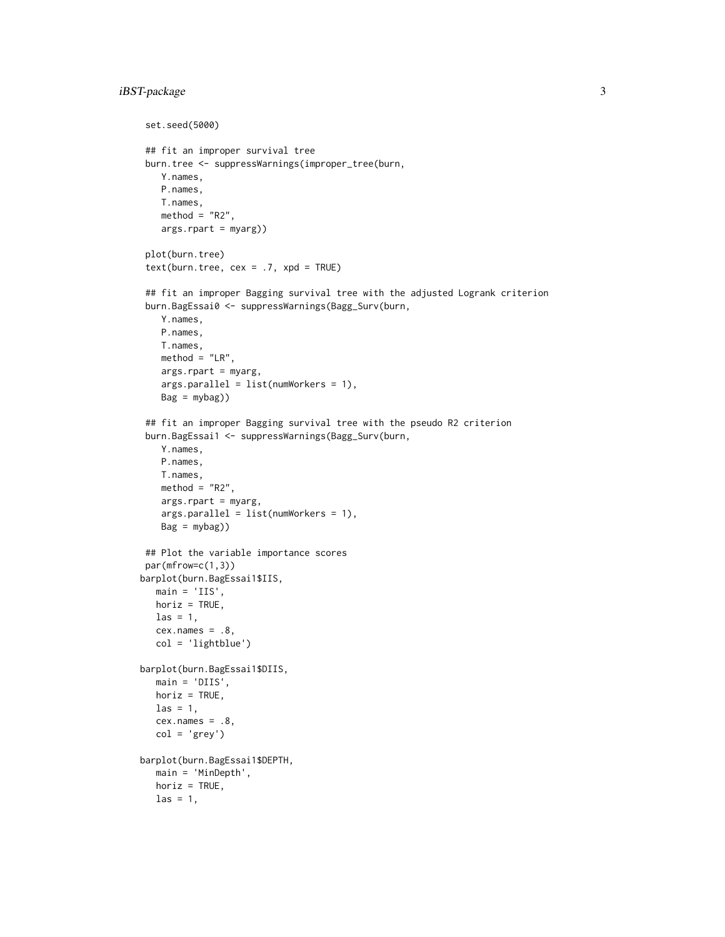```
set.seed(5000)
## fit an improper survival tree
burn.tree <- suppressWarnings(improper_tree(burn,
   Y.names,
   P.names,
   T.names,
   method = "R2",args.rpart = myarg))
 plot(burn.tree)
 text(burn.tree, cex = .7, xpd = TRUE)## fit an improper Bagging survival tree with the adjusted Logrank criterion
 burn.BagEssai0 <- suppressWarnings(Bagg_Surv(burn,
    Y.names,
   P.names,
   T.names,
   method = "LR",args.rpart = myarg,
   args.parallel = list(numWorkers = 1),
   Bag = mybag)## fit an improper Bagging survival tree with the pseudo R2 criterion
burn.BagEssai1 <- suppressWarnings(Bagg_Surv(burn,
   Y.names,
   P.names,
   T.names,
   method = "R2",args.rpart = myarg,
   args.parallel = list(numWorkers = 1),
   Bag = mybag))
## Plot the variable importance scores
par(mfrow=c(1,3))
barplot(burn.BagEssai1$IIS,
  main = 'IIS',horiz = TRUE,
  \text{las} = 1,
  cex.name s = .8,col = 'lightblue')
barplot(burn.BagEssai1$DIIS,
  main = 'DIIS',
  horiz = TRUE,
  \text{las} = 1,
  cex.name = .8,col = 'grey')barplot(burn.BagEssai1$DEPTH,
  main = 'MinDepth',
  horiz = TRUE,
  \text{las} = 1,
```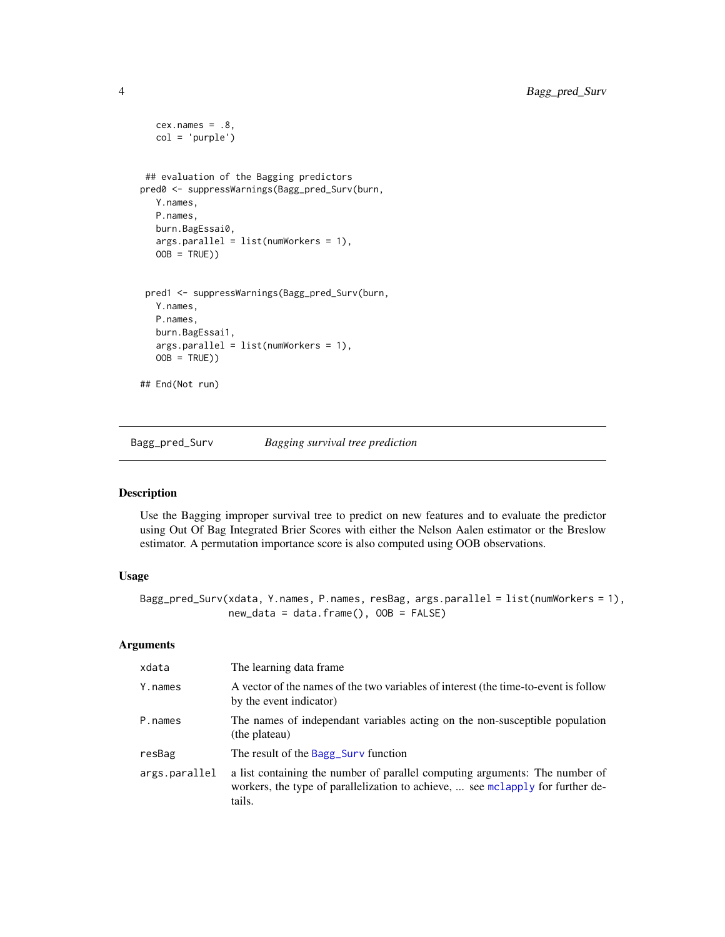```
cex.name = .8,col = 'purple')
## evaluation of the Bagging predictors
pred0 <- suppressWarnings(Bagg_pred_Surv(burn,
  Y.names,
  P.names,
  burn.BagEssai0,
  args.parallel = list(numWorkers = 1),
  OOB = TRUE))
 pred1 <- suppressWarnings(Bagg_pred_Surv(burn,
  Y.names,
  P.names,
  burn.BagEssai1,
  args.parallel = list(numWorkers = 1),
  OOB = TRUE))
## End(Not run)
```
<span id="page-3-1"></span>Bagg\_pred\_Surv *Bagging survival tree prediction*

#### Description

Use the Bagging improper survival tree to predict on new features and to evaluate the predictor using Out Of Bag Integrated Brier Scores with either the Nelson Aalen estimator or the Breslow estimator. A permutation importance score is also computed using OOB observations.

#### Usage

```
Bagg_pred_Surv(xdata, Y.names, P.names, resBag, args.parallel = list(numWorkers = 1),
               new_data = data.frame(), 00B = FALSE)
```
#### Arguments

| xdata         | The learning data frame.                                                                                                                                                |
|---------------|-------------------------------------------------------------------------------------------------------------------------------------------------------------------------|
| Y.names       | A vector of the names of the two variables of interest (the time-to-event is follow<br>by the event indicator)                                                          |
| P.names       | The names of independant variables acting on the non-susceptible population<br>(the plateau)                                                                            |
| resBag        | The result of the Bagg_Surv function                                                                                                                                    |
| args.parallel | a list containing the number of parallel computing arguments: The number of<br>workers, the type of parallelization to achieve,  see mclapply for further de-<br>tails. |

<span id="page-3-0"></span>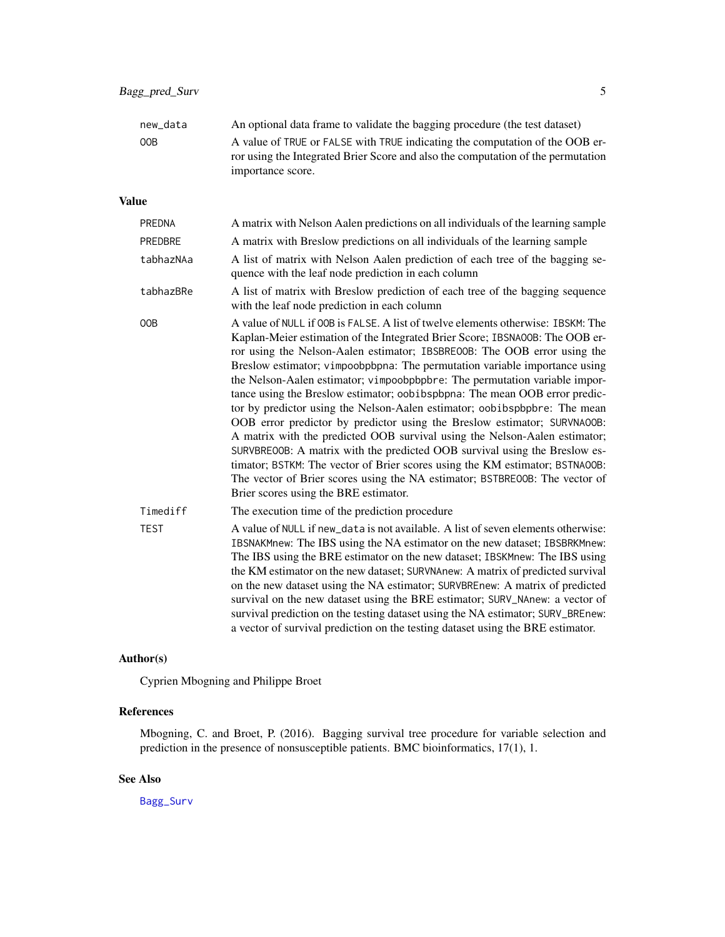<span id="page-4-0"></span>

| new data | An optional data frame to validate the bagging procedure (the test dataset)                                                                                      |
|----------|------------------------------------------------------------------------------------------------------------------------------------------------------------------|
| 00B      | A value of TRUE or FALSE with TRUE indicating the computation of the OOB er-<br>ror using the Integrated Brier Score and also the computation of the permutation |
|          | importance score.                                                                                                                                                |

#### Value

| PREDNA         | A matrix with Nelson Aalen predictions on all individuals of the learning sample                                                                                                                                                                                                                                                                                                                                                                                                                                                                                                                                                                                                                                                                                                                                                                                                                                                                                                                                    |
|----------------|---------------------------------------------------------------------------------------------------------------------------------------------------------------------------------------------------------------------------------------------------------------------------------------------------------------------------------------------------------------------------------------------------------------------------------------------------------------------------------------------------------------------------------------------------------------------------------------------------------------------------------------------------------------------------------------------------------------------------------------------------------------------------------------------------------------------------------------------------------------------------------------------------------------------------------------------------------------------------------------------------------------------|
| <b>PREDBRE</b> | A matrix with Breslow predictions on all individuals of the learning sample                                                                                                                                                                                                                                                                                                                                                                                                                                                                                                                                                                                                                                                                                                                                                                                                                                                                                                                                         |
| tabhazNAa      | A list of matrix with Nelson Aalen prediction of each tree of the bagging se-<br>quence with the leaf node prediction in each column                                                                                                                                                                                                                                                                                                                                                                                                                                                                                                                                                                                                                                                                                                                                                                                                                                                                                |
| tabhazBRe      | A list of matrix with Breslow prediction of each tree of the bagging sequence<br>with the leaf node prediction in each column                                                                                                                                                                                                                                                                                                                                                                                                                                                                                                                                                                                                                                                                                                                                                                                                                                                                                       |
| 00B            | A value of NULL if OOB is FALSE. A list of twelve elements otherwise: IBSKM: The<br>Kaplan-Meier estimation of the Integrated Brier Score; IBSNA00B: The OOB er-<br>ror using the Nelson-Aalen estimator; IBSBRE00B: The OOB error using the<br>Breslow estimator; vimpoobpbpna: The permutation variable importance using<br>the Nelson-Aalen estimator; vimpoobpbpbre: The permutation variable impor-<br>tance using the Breslow estimator; oobibspbpna: The mean OOB error predic-<br>tor by predictor using the Nelson-Aalen estimator; oobibspbpbre: The mean<br>OOB error predictor by predictor using the Breslow estimator; SURVNAOOB:<br>A matrix with the predicted OOB survival using the Nelson-Aalen estimator;<br>SURVBREOOB: A matrix with the predicted OOB survival using the Breslow es-<br>timator; BSTKM: The vector of Brier scores using the KM estimator; BSTNA00B:<br>The vector of Brier scores using the NA estimator; BSTBRE00B: The vector of<br>Brier scores using the BRE estimator. |
| Timediff       | The execution time of the prediction procedure                                                                                                                                                                                                                                                                                                                                                                                                                                                                                                                                                                                                                                                                                                                                                                                                                                                                                                                                                                      |
| <b>TEST</b>    | A value of NULL if new_data is not available. A list of seven elements otherwise:<br>IBSNAKMnew: The IBS using the NA estimator on the new dataset; IBSBRKMnew:<br>The IBS using the BRE estimator on the new dataset; IBSKMnew: The IBS using<br>the KM estimator on the new dataset; SURVNAnew: A matrix of predicted survival<br>on the new dataset using the NA estimator; SURVBREnew: A matrix of predicted<br>survival on the new dataset using the BRE estimator; SURV_NAnew: a vector of<br>survival prediction on the testing dataset using the NA estimator; SURV_BREnew:<br>a vector of survival prediction on the testing dataset using the BRE estimator.                                                                                                                                                                                                                                                                                                                                              |

#### Author(s)

Cyprien Mbogning and Philippe Broet

#### References

Mbogning, C. and Broet, P. (2016). Bagging survival tree procedure for variable selection and prediction in the presence of nonsusceptible patients. BMC bioinformatics, 17(1), 1.

#### See Also

[Bagg\\_Surv](#page-5-1)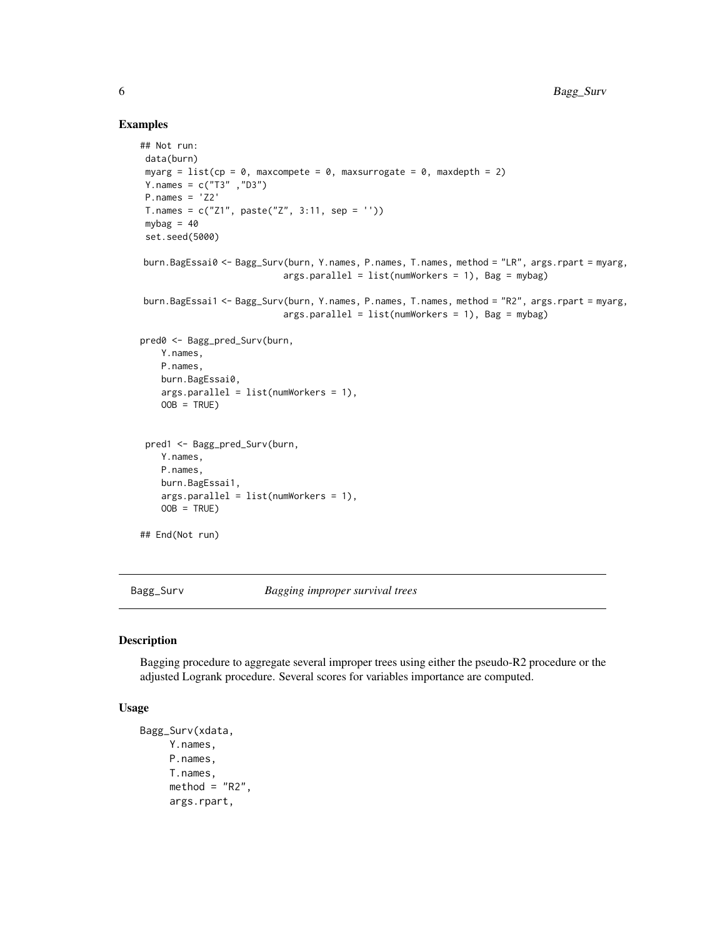#### Examples

```
## Not run:
data(burn)
myarg = list(cp = 0, maxcompete = 0, maxsurrogate = 0, maxdepth = 2)
Y.names = c("T3" ,"D3")
P.names = 'Z2'
T.name = c("Z1", paste("Z", 3:11, sep = ''))mybag = 40set.seed(5000)
burn.BagEssai0 <- Bagg_Surv(burn, Y.names, P.names, T.names, method = "LR", args.rpart = myarg,
                           args.parallel = list(numWorks = 1), Bag = mybag)burn.BagEssai1 <- Bagg_Surv(burn, Y.names, P.names, T.names, method = "R2", args.rpart = myarg,
                           args.parallel = list(numWorks = 1), Bag = mybag)pred0 <- Bagg_pred_Surv(burn,
   Y.names,
   P.names,
   burn.BagEssai0,
   args.parallel = list(numWorkers = 1),
   OOB = TRUE)
pred1 <- Bagg_pred_Surv(burn,
   Y.names,
   P.names,
   burn.BagEssai1,
   args.parallel = list(numWorkers = 1),
   OOB = TRUE)
## End(Not run)
```
<span id="page-5-1"></span>Bagg\_Surv *Bagging improper survival trees*

#### Description

Bagging procedure to aggregate several improper trees using either the pseudo-R2 procedure or the adjusted Logrank procedure. Several scores for variables importance are computed.

#### Usage

```
Bagg_Surv(xdata,
     Y.names,
     P.names,
     T.names,
     method = "R2",args.rpart,
```
<span id="page-5-0"></span>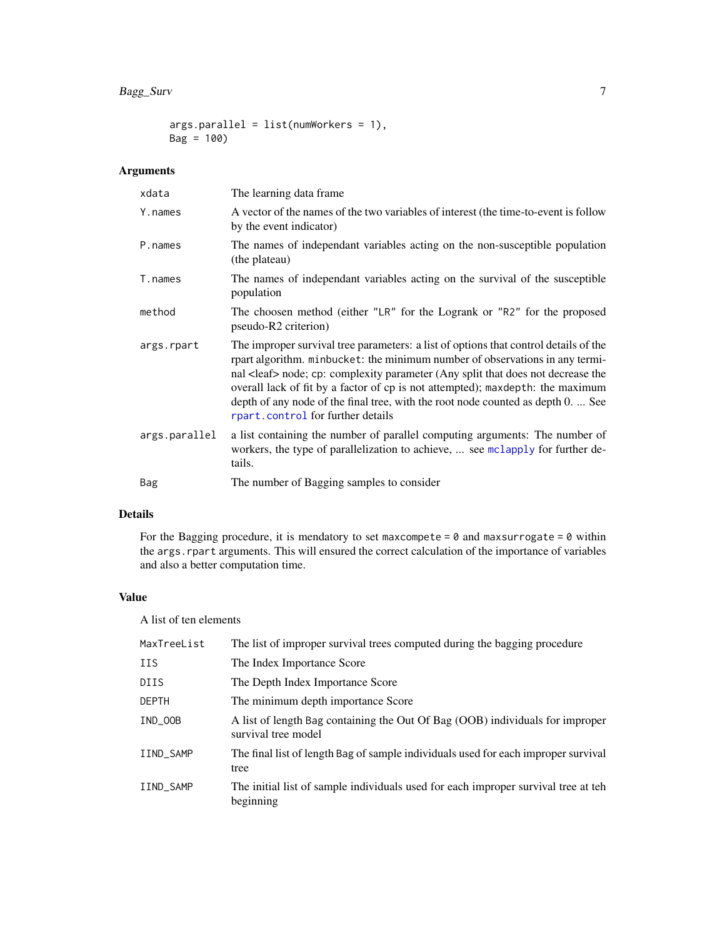#### <span id="page-6-0"></span>Bagg\_Surv 7

```
args.parallel = list(numWorks = 1),Bag = 100)
```
#### Arguments

| xdata         | The learning data frame.                                                                                                                                                                                                                                                                                                                                                                                                                                                     |
|---------------|------------------------------------------------------------------------------------------------------------------------------------------------------------------------------------------------------------------------------------------------------------------------------------------------------------------------------------------------------------------------------------------------------------------------------------------------------------------------------|
| Y.names       | A vector of the names of the two variables of interest (the time-to-event is follow<br>by the event indicator)                                                                                                                                                                                                                                                                                                                                                               |
| P.names       | The names of independant variables acting on the non-susceptible population<br>(the plateau)                                                                                                                                                                                                                                                                                                                                                                                 |
| T.names       | The names of independant variables acting on the survival of the susceptible<br>population                                                                                                                                                                                                                                                                                                                                                                                   |
| method        | The choosen method (either "LR" for the Logrank or "R2" for the proposed<br>pseudo-R2 criterion)                                                                                                                                                                                                                                                                                                                                                                             |
| args.rpart    | The improper survival tree parameters: a list of options that control details of the<br>rpart algorithm. minbucket: the minimum number of observations in any termi-<br>nal <leaf> node; cp: complexity parameter (Any split that does not decrease the<br/>overall lack of fit by a factor of cp is not attempted); maxdepth: the maximum<br/>depth of any node of the final tree, with the root node counted as depth 0.  See<br/>rpart.control for further details</leaf> |
| args.parallel | a list containing the number of parallel computing arguments: The number of<br>workers, the type of parallelization to achieve,  see mclapply for further de-<br>tails.                                                                                                                                                                                                                                                                                                      |
| Bag           | The number of Bagging samples to consider                                                                                                                                                                                                                                                                                                                                                                                                                                    |

#### Details

For the Bagging procedure, it is mendatory to set maxcompete =  $0$  and maxsurrogate =  $0$  within the args.rpart arguments. This will ensured the correct calculation of the importance of variables and also a better computation time.

#### Value

A list of ten elements

| MaxTreeList  | The list of improper survival trees computed during the bagging procedure                            |
|--------------|------------------------------------------------------------------------------------------------------|
| <b>IIS</b>   | The Index Importance Score                                                                           |
| <b>DIIS</b>  | The Depth Index Importance Score                                                                     |
| <b>DEPTH</b> | The minimum depth importance Score                                                                   |
| IND_OOB      | A list of length Bag containing the Out Of Bag (OOB) individuals for improper<br>survival tree model |
| IIND_SAMP    | The final list of length Bag of sample individuals used for each improper survival<br>tree           |
| IIND_SAMP    | The initial list of sample individuals used for each improper survival tree at teh<br>beginning      |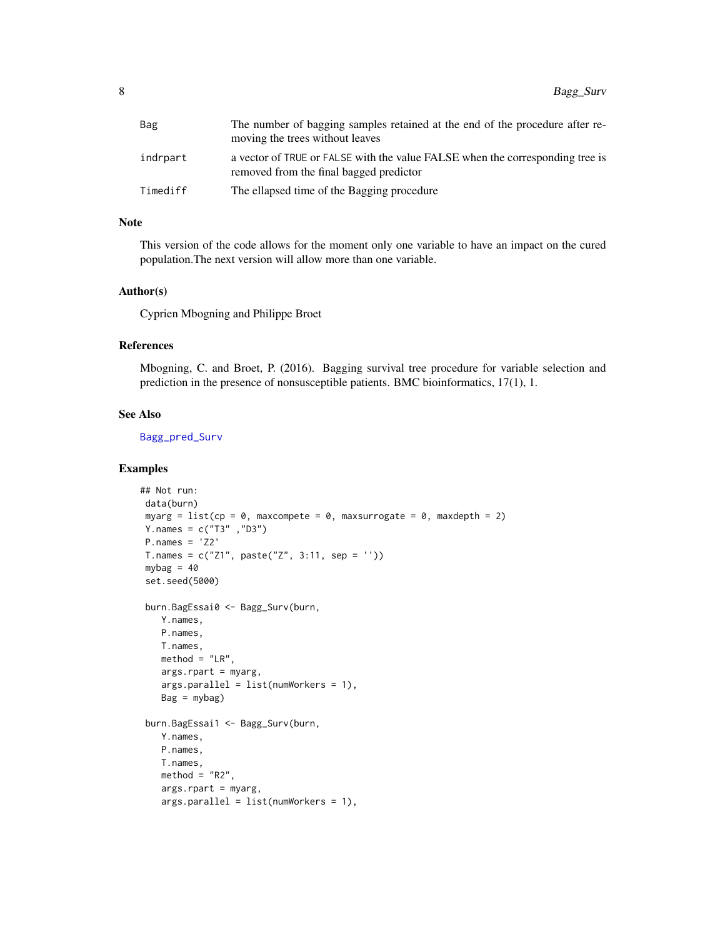<span id="page-7-0"></span>

| Bag      | The number of bagging samples retained at the end of the procedure after re-<br>moving the trees without leaves          |
|----------|--------------------------------------------------------------------------------------------------------------------------|
| indrpart | a vector of TRUE or FALSE with the value FALSE when the corresponding tree is<br>removed from the final bagged predictor |
| Timediff | The ellapsed time of the Bagging procedure                                                                               |

#### Note

This version of the code allows for the moment only one variable to have an impact on the cured population.The next version will allow more than one variable.

#### Author(s)

Cyprien Mbogning and Philippe Broet

#### References

Mbogning, C. and Broet, P. (2016). Bagging survival tree procedure for variable selection and prediction in the presence of nonsusceptible patients. BMC bioinformatics, 17(1), 1.

#### See Also

[Bagg\\_pred\\_Surv](#page-3-1)

#### Examples

```
## Not run:
data(burn)
myarg = list(cp = 0, maxcomplete = 0, maxsurrogate = 0, maxdepth = 2)Y.names = c("T3" ,"D3")
P.names = 'Z2'T.names = c("Z1", paste("Z", 3:11, sep = ''))mybag = 40set.seed(5000)
burn.BagEssai0 <- Bagg_Surv(burn,
   Y.names,
   P.names,
   T.names,
   method = "LR",args.rpart = myarg,
   args.parallel = list(numWorkers = 1),
   Bag = mybag)
burn.BagEssai1 <- Bagg_Surv(burn,
   Y.names,
   P.names,
   T.names,
   method = "R2",args.rpart = myarg,
   args.parallel = list(numWorkers = 1),
```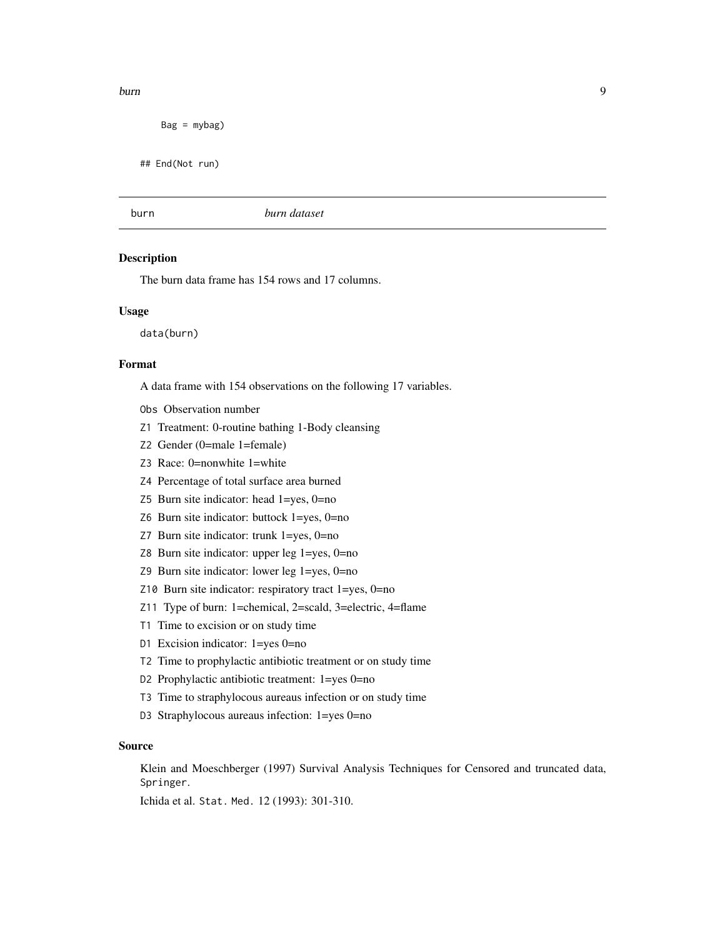#### <span id="page-8-0"></span>burn 99 burn 1999 burn 1999 burn 1999 burn 1999 burn 1999 burn 1999 burn 1999 burn 1999 burn 1999 burn 1999 bu

 $Bag = mybag)$ 

## End(Not run)

#### burn *burn dataset*

#### Description

The burn data frame has 154 rows and 17 columns.

#### Usage

data(burn)

#### Format

A data frame with 154 observations on the following 17 variables.

- Obs Observation number
- Z1 Treatment: 0-routine bathing 1-Body cleansing
- Z2 Gender (0=male 1=female)
- Z3 Race: 0=nonwhite 1=white
- Z4 Percentage of total surface area burned
- Z5 Burn site indicator: head 1=yes, 0=no
- Z6 Burn site indicator: buttock 1=yes, 0=no
- Z7 Burn site indicator: trunk 1=yes, 0=no
- Z8 Burn site indicator: upper leg 1=yes, 0=no
- Z9 Burn site indicator: lower leg 1=yes, 0=no
- Z10 Burn site indicator: respiratory tract 1=yes, 0=no
- Z11 Type of burn: 1=chemical, 2=scald, 3=electric, 4=flame
- T1 Time to excision or on study time
- D1 Excision indicator: 1=yes 0=no
- T2 Time to prophylactic antibiotic treatment or on study time
- D2 Prophylactic antibiotic treatment: 1=yes 0=no
- T3 Time to straphylocous aureaus infection or on study time
- D3 Straphylocous aureaus infection: 1=yes 0=no

#### Source

Klein and Moeschberger (1997) Survival Analysis Techniques for Censored and truncated data, Springer.

Ichida et al. Stat. Med. 12 (1993): 301-310.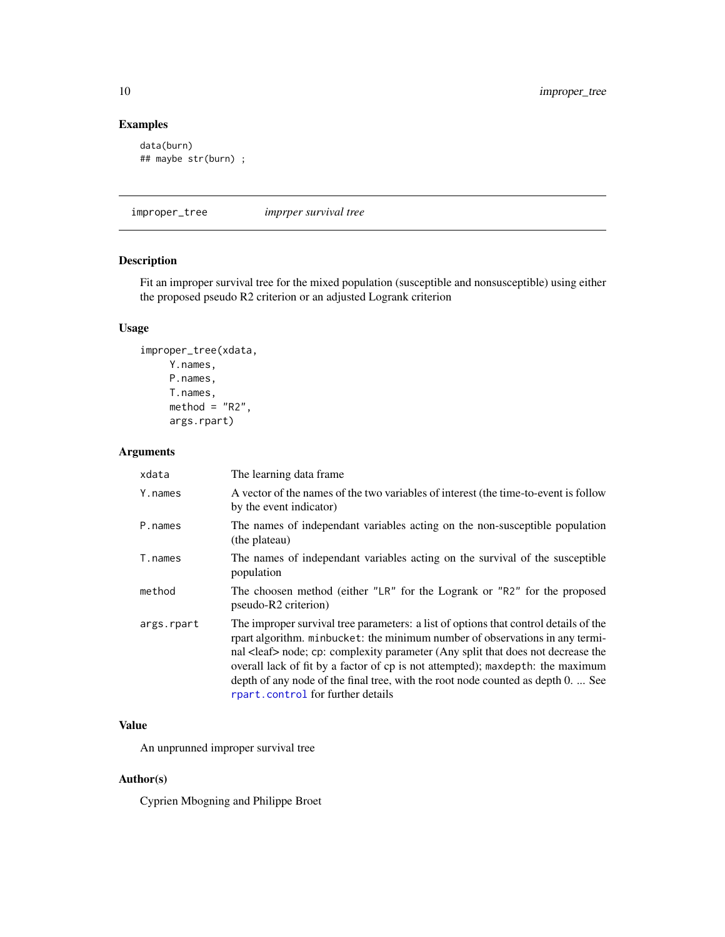#### Examples

```
data(burn)
## maybe str(burn) ;
```
<span id="page-9-1"></span>improper\_tree *imprper survival tree*

#### Description

Fit an improper survival tree for the mixed population (susceptible and nonsusceptible) using either the proposed pseudo R2 criterion or an adjusted Logrank criterion

#### Usage

```
improper_tree(xdata,
    Y.names,
    P.names,
     T.names,
    method = "R2",args.rpart)
```
#### Arguments

| xdata      | The learning data frame.                                                                                                                                                                                                                                                                                                                                                                                                                                                     |
|------------|------------------------------------------------------------------------------------------------------------------------------------------------------------------------------------------------------------------------------------------------------------------------------------------------------------------------------------------------------------------------------------------------------------------------------------------------------------------------------|
| Y.names    | A vector of the names of the two variables of interest (the time-to-event is follow<br>by the event indicator)                                                                                                                                                                                                                                                                                                                                                               |
| P.names    | The names of independant variables acting on the non-susceptible population<br>(the plateau)                                                                                                                                                                                                                                                                                                                                                                                 |
| T.names    | The names of independant variables acting on the survival of the susceptible<br>population                                                                                                                                                                                                                                                                                                                                                                                   |
| method     | The choosen method (either "LR" for the Logrank or "R2" for the proposed<br>pseudo-R2 criterion)                                                                                                                                                                                                                                                                                                                                                                             |
| args.rpart | The improper survival tree parameters: a list of options that control details of the<br>rpart algorithm. minbucket: the minimum number of observations in any termi-<br>nal <leaf> node; cp: complexity parameter (Any split that does not decrease the<br/>overall lack of fit by a factor of cp is not attempted); maxdepth: the maximum<br/>depth of any node of the final tree, with the root node counted as depth 0.  See<br/>rpart.control for further details</leaf> |

#### Value

An unprunned improper survival tree

#### Author(s)

Cyprien Mbogning and Philippe Broet

<span id="page-9-0"></span>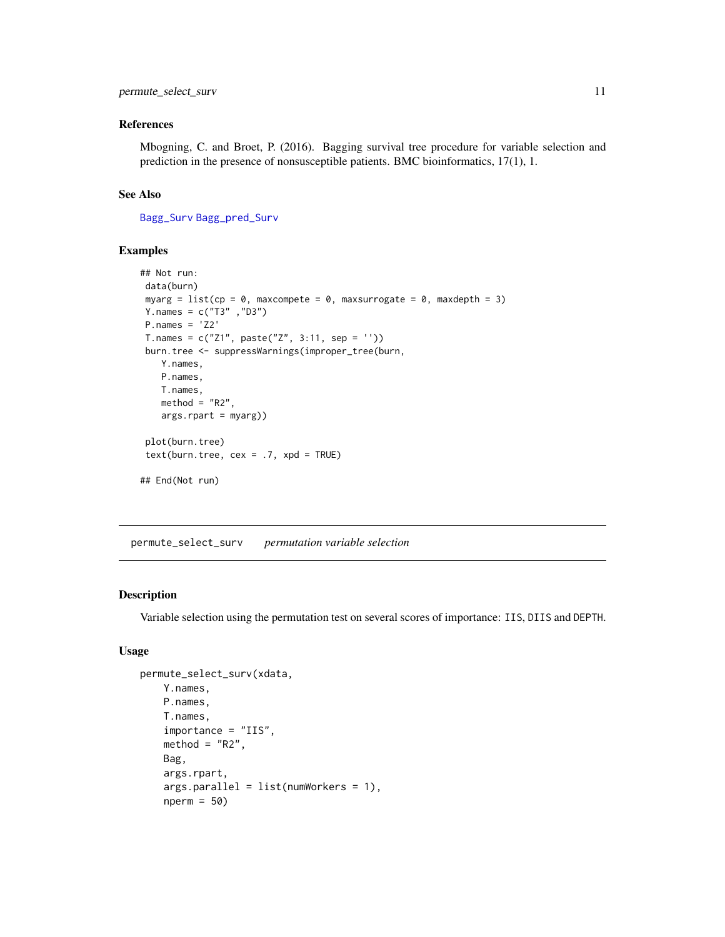#### <span id="page-10-0"></span>permute\_select\_surv 11

#### References

Mbogning, C. and Broet, P. (2016). Bagging survival tree procedure for variable selection and prediction in the presence of nonsusceptible patients. BMC bioinformatics, 17(1), 1.

#### See Also

[Bagg\\_Surv](#page-5-1) [Bagg\\_pred\\_Surv](#page-3-1)

#### Examples

```
## Not run:
data(burn)
myarg = list(cp = 0, maxcompete = 0, maxsurrogate = 0, maxdepth = 3)
Y.names = c("T3" ,"D3")
P.names = 'Z2'
T.names = c("Z1", paste("Z", 3:11, sep = ''))
burn.tree <- suppressWarnings(improper_tree(burn,
   Y.names,
   P.names,
   T.names,
   method = "R2",args.\nprint = myarg)plot(burn.tree)
text(burn.tree, cex = .7, xpd = TRUE)## End(Not run)
```
permute\_select\_surv *permutation variable selection*

#### Description

Variable selection using the permutation test on several scores of importance: IIS, DIIS and DEPTH.

#### Usage

```
permute_select_surv(xdata,
   Y.names,
   P.names,
   T.names,
    importance = "IIS",
   method = "R2",Bag,
   args.rpart,
   args.parallel = list(numWorkers = 1),
    nperm = 50)
```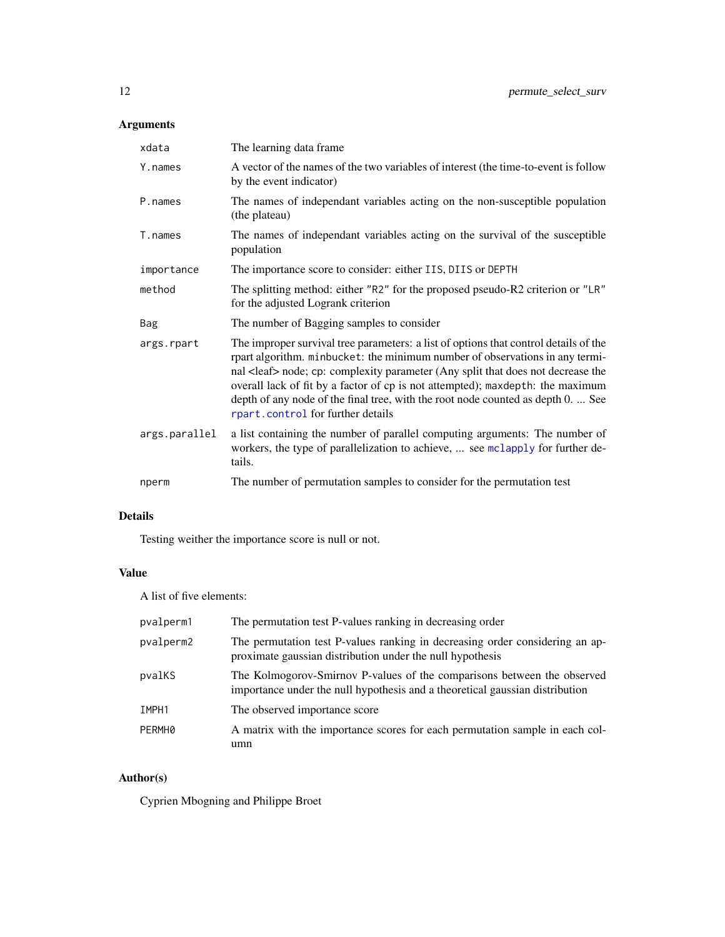### <span id="page-11-0"></span>Arguments

| xdata         | The learning data frame.                                                                                                                                                                                                                                                                                                                                                                                                                                                     |
|---------------|------------------------------------------------------------------------------------------------------------------------------------------------------------------------------------------------------------------------------------------------------------------------------------------------------------------------------------------------------------------------------------------------------------------------------------------------------------------------------|
| Y.names       | A vector of the names of the two variables of interest (the time-to-event is follow<br>by the event indicator)                                                                                                                                                                                                                                                                                                                                                               |
| P.names       | The names of independant variables acting on the non-susceptible population<br>(the plateau)                                                                                                                                                                                                                                                                                                                                                                                 |
| T.names       | The names of independant variables acting on the survival of the susceptible<br>population                                                                                                                                                                                                                                                                                                                                                                                   |
| importance    | The importance score to consider: either IIS, DIIS or DEPTH                                                                                                                                                                                                                                                                                                                                                                                                                  |
| method        | The splitting method: either "R2" for the proposed pseudo-R2 criterion or "LR"<br>for the adjusted Logrank criterion                                                                                                                                                                                                                                                                                                                                                         |
| Bag           | The number of Bagging samples to consider                                                                                                                                                                                                                                                                                                                                                                                                                                    |
| args.rpart    | The improper survival tree parameters: a list of options that control details of the<br>rpart algorithm. minbucket: the minimum number of observations in any termi-<br>nal <leaf> node; cp: complexity parameter (Any split that does not decrease the<br/>overall lack of fit by a factor of cp is not attempted); maxdepth: the maximum<br/>depth of any node of the final tree, with the root node counted as depth 0.  See<br/>rpart.control for further details</leaf> |
| args.parallel | a list containing the number of parallel computing arguments: The number of<br>workers, the type of parallelization to achieve,  see mclapply for further de-<br>tails.                                                                                                                                                                                                                                                                                                      |
| nperm         | The number of permutation samples to consider for the permutation test                                                                                                                                                                                                                                                                                                                                                                                                       |

#### Details

Testing weither the importance score is null or not.

### Value

A list of five elements:

| pvalperm1 | The permutation test P-values ranking in decreasing order                                                                                               |
|-----------|---------------------------------------------------------------------------------------------------------------------------------------------------------|
| pvalperm2 | The permutation test P-values ranking in decreasing order considering an ap-<br>proximate gaussian distribution under the null hypothesis               |
| pvalKS    | The Kolmogorov-Smirnov P-values of the comparisons between the observed<br>importance under the null hypothesis and a theoretical gaussian distribution |
| IMPH1     | The observed importance score                                                                                                                           |
| PERMH0    | A matrix with the importance scores for each permutation sample in each col-<br>umn                                                                     |

### Author(s)

Cyprien Mbogning and Philippe Broet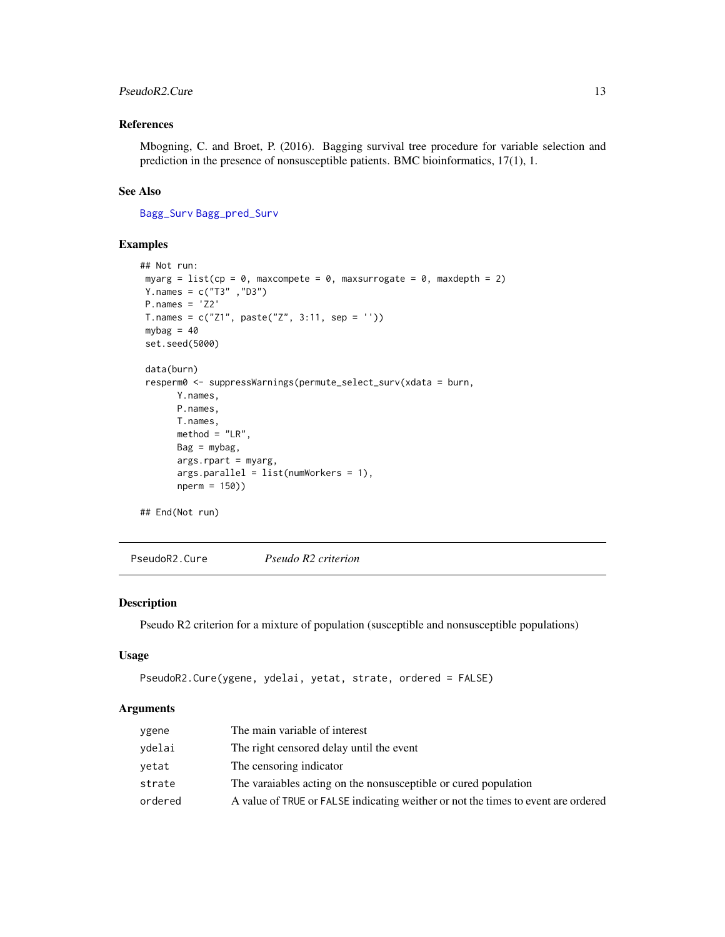#### <span id="page-12-0"></span>PseudoR2.Cure 13

#### References

Mbogning, C. and Broet, P. (2016). Bagging survival tree procedure for variable selection and prediction in the presence of nonsusceptible patients. BMC bioinformatics, 17(1), 1.

#### See Also

[Bagg\\_Surv](#page-5-1) [Bagg\\_pred\\_Surv](#page-3-1)

#### Examples

```
## Not run:
myarg = list(cp = \theta, maxcompete = \theta, maxsurrogate = \theta, maxdepth = 2)
Y.names = c("T3" ,"D3")
P.names = 'Z2'
T.names = c("Z1", paste("Z", 3:11, sep = ''))
mybag = 40set.seed(5000)
data(burn)
resperm0 <- suppressWarnings(permute_select_surv(xdata = burn,
       Y.names,
       P.names,
       T.names,
       method = "LR",Bag = mybag,
       args.rpart = myarg,
       args.parallel = list(numWorkers = 1),
       nperm = 150))
## End(Not run)
```
PseudoR2.Cure *Pseudo R2 criterion*

#### Description

Pseudo R2 criterion for a mixture of population (susceptible and nonsusceptible populations)

#### Usage

```
PseudoR2.Cure(ygene, ydelai, yetat, strate, ordered = FALSE)
```
#### Arguments

| ygene   | The main variable of interest                                                     |
|---------|-----------------------------------------------------------------------------------|
| ydelai  | The right censored delay until the event                                          |
| vetat   | The censoring indicator                                                           |
| strate  | The varaiables acting on the nonsusceptible or cured population                   |
| ordered | A value of TRUE or FALSE indicating weither or not the times to event are ordered |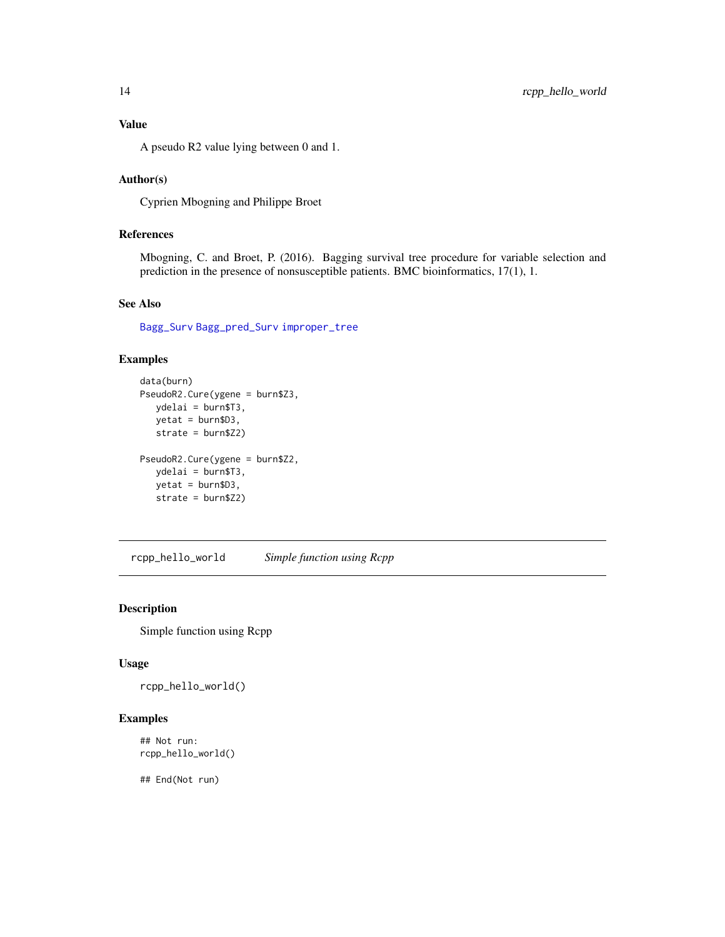<span id="page-13-0"></span>A pseudo R2 value lying between 0 and 1.

#### Author(s)

Cyprien Mbogning and Philippe Broet

#### References

Mbogning, C. and Broet, P. (2016). Bagging survival tree procedure for variable selection and prediction in the presence of nonsusceptible patients. BMC bioinformatics, 17(1), 1.

#### See Also

[Bagg\\_Surv](#page-5-1) [Bagg\\_pred\\_Surv](#page-3-1) [improper\\_tree](#page-9-1)

#### Examples

```
data(burn)
PseudoR2.Cure(ygene = burn$Z3,
  ydelai = burn$T3,
  yetat = burn$D3,
  strate = burn$Z2)
PseudoR2.Cure(ygene = burn$Z2,
  ydelai = burn$T3,
  yetat = burn$D3,
  strate = burn$Z2)
```
rcpp\_hello\_world *Simple function using Rcpp*

#### Description

Simple function using Rcpp

#### Usage

rcpp\_hello\_world()

#### Examples

## Not run: rcpp\_hello\_world()

## End(Not run)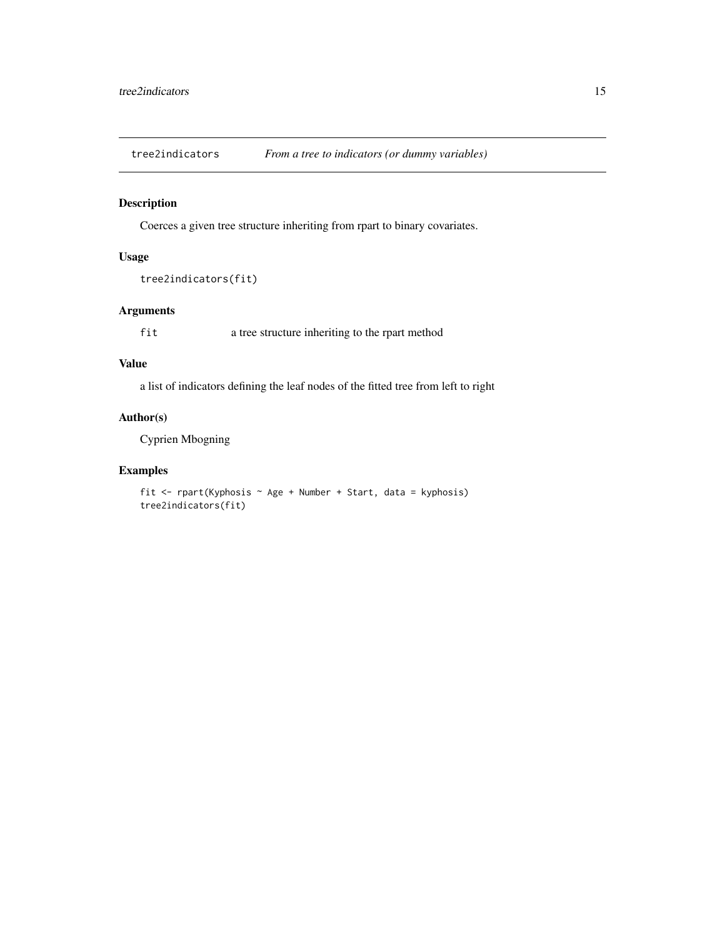<span id="page-14-0"></span>

#### Description

Coerces a given tree structure inheriting from rpart to binary covariates.

#### Usage

```
tree2indicators(fit)
```
#### Arguments

fit a tree structure inheriting to the rpart method

#### Value

a list of indicators defining the leaf nodes of the fitted tree from left to right

#### Author(s)

Cyprien Mbogning

#### Examples

fit <- rpart(Kyphosis ~ Age + Number + Start, data = kyphosis) tree2indicators(fit)